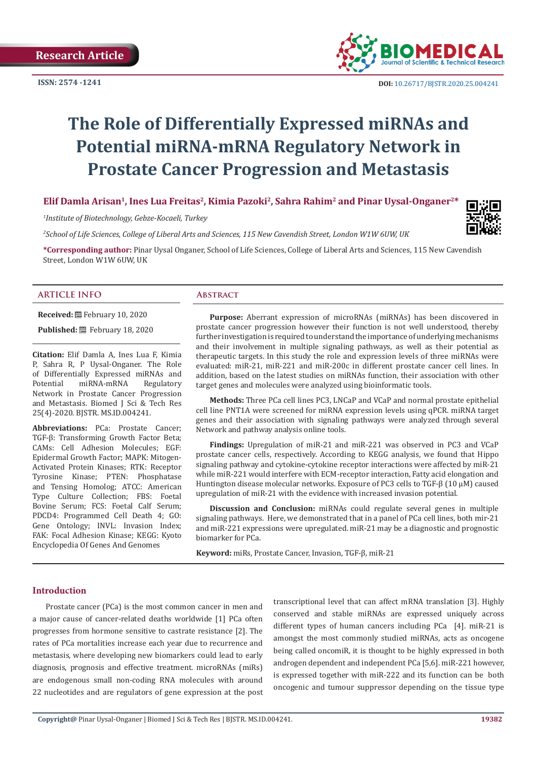

# **The Role of Differentially Expressed miRNAs and Potential miRNA-mRNA Regulatory Network in Prostate Cancer Progression and Metastasis**

Elif Damla Arisan<sup>1</sup>, Ines Lua Freitas<sup>2</sup>, Kimia Pazoki<sup>2</sup>, Sahra Rahim<sup>2</sup> and Pinar Uysal-Onganer<sup>2\*</sup>

*1 Institute of Biotechnology, Gebze-Kocaeli, Turkey*

*2 School of Life Sciences, College of Liberal Arts and Sciences, 115 New Cavendish Street, London W1W 6UW, UK*

**\*Corresponding author:** Pinar Uysal Onganer, School of Life Sciences, College of Liberal Arts and Sciences, 115 New Cavendish Street, London W1W 6UW, UK

# **ARTICLE INFO Abstract**

**Received:** February 10, 2020

**Published:** February 18, 2020

**Citation:** Elif Damla A, Ines Lua F, Kimia P, Sahra R, P Uysal-Onganer. The Role of Differentially Expressed miRNAs and<br>Potential miRNA-mRNA Regulatory miRNA-mRNA Network in Prostate Cancer Progression and Metastasis. Biomed J Sci & Tech Res 25(4)-2020. BJSTR. MS.ID.004241.

**Abbreviations:** PCa: Prostate Cancer; TGF-β: Transforming Growth Factor Beta; CAMs: Cell Adhesion Molecules; EGF: Epidermal Growth Factor; MAPK: Mitogen-Activated Protein Kinases; RTK: Receptor Tyrosine Kinase; PTEN: Phosphatase and Tensing Homolog; ATCC: American Type Culture Collection; FBS: Foetal Bovine Serum; FCS: Foetal Calf Serum; PDCD4: Programmed Cell Death 4; GO: Gene Ontology; INVL: Invasion Index; FAK: Focal Adhesion Kinase; KEGG: Kyoto Encyclopedia Of Genes And Genomes

**Purpose:** Aberrant expression of microRNAs (miRNAs) has been discovered in prostate cancer progression however their function is not well understood, thereby further investigation is required to understand the importance of underlying mechanisms and their involvement in multiple signaling pathways, as well as their potential as therapeutic targets. In this study the role and expression levels of three miRNAs were evaluated: miR-21, miR-221 and miR-200c in different prostate cancer cell lines. In addition, based on the latest studies on miRNAs function, their association with other target genes and molecules were analyzed using bioinformatic tools.

**Methods:** Three PCa cell lines PC3, LNCaP and VCaP and normal prostate epithelial cell line PNT1A were screened for miRNA expression levels using qPCR. miRNA target genes and their association with signaling pathways were analyzed through several Network and pathway analysis online tools.

**Findings:** Upregulation of miR-21 and miR-221 was observed in PC3 and VCaP prostate cancer cells, respectively. According to KEGG analysis, we found that Hippo signaling pathway and cytokine-cytokine receptor interactions were affected by miR-21 while miR-221 would interfere with ECM-receptor interaction, Fatty acid elongation and Huntington disease molecular networks. Exposure of PC3 cells to TGF-β (10 µM) caused upregulation of miR-21 with the evidence with increased invasion potential.

**Discussion and Conclusion:** miRNAs could regulate several genes in multiple signaling pathways. Here, we demonstrated that in a panel of PCa cell lines, both mir-21 and miR-221 expressions were upregulated. miR-21 may be a diagnostic and prognostic biomarker for PCa.

**Keyword:** miRs, Prostate Cancer, Invasion, TGF-β, miR-21

# **Introduction**

Prostate cancer (PCa) is the most common cancer in men and a major cause of cancer-related deaths worldwide [1] PCa often progresses from hormone sensitive to castrate resistance [2]. The rates of PCa mortalities increase each year due to recurrence and metastasis, where developing new biomarkers could lead to early diagnosis, prognosis and effective treatment. microRNAs (miRs) are endogenous small non-coding RNA molecules with around 22 nucleotides and are regulators of gene expression at the post transcriptional level that can affect mRNA translation [3]. Highly conserved and stable miRNAs are expressed uniquely across different types of human cancers including PCa [4]. miR-21 is amongst the most commonly studied miRNAs, acts as oncogene being called oncomiR, it is thought to be highly expressed in both androgen dependent and independent PCa [5,6]. miR-221 however, is expressed together with miR-222 and its function can be both oncogenic and tumour suppressor depending on the tissue type

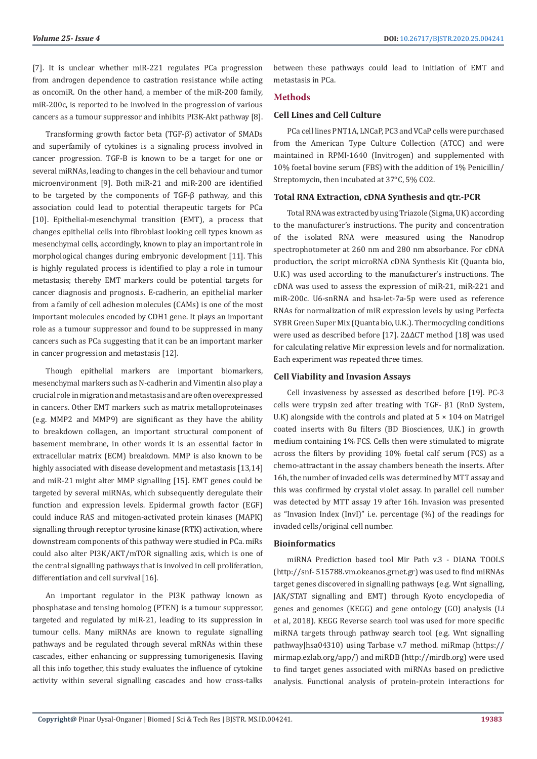[7]. It is unclear whether miR-221 regulates PCa progression from androgen dependence to castration resistance while acting as oncomiR. On the other hand, a member of the miR-200 family, miR-200c, is reported to be involved in the progression of various cancers as a tumour suppressor and inhibits PI3K-Akt pathway [8].

Transforming growth factor beta (TGF-β) activator of SMADs and superfamily of cytokines is a signaling process involved in cancer progression. TGF-B is known to be a target for one or several miRNAs, leading to changes in the cell behaviour and tumor microenvironment [9]. Both miR-21 and miR-200 are identified to be targeted by the components of TGF-β pathway, and this association could lead to potential therapeutic targets for PCa [10]. Epithelial-mesenchymal transition (EMT), a process that changes epithelial cells into fibroblast looking cell types known as mesenchymal cells, accordingly, known to play an important role in morphological changes during embryonic development [11]. This is highly regulated process is identified to play a role in tumour metastasis; thereby EMT markers could be potential targets for cancer diagnosis and prognosis. E-cadherin, an epithelial marker from a family of cell adhesion molecules (CAMs) is one of the most important molecules encoded by CDH1 gene. It plays an important role as a tumour suppressor and found to be suppressed in many cancers such as PCa suggesting that it can be an important marker in cancer progression and metastasis [12].

Though epithelial markers are important biomarkers, mesenchymal markers such as N-cadherin and Vimentin also play a crucial role in migration and metastasis and are often overexpressed in cancers. Other EMT markers such as matrix metalloproteinases (e.g. MMP2 and MMP9) are significant as they have the ability to breakdown collagen, an important structural component of basement membrane, in other words it is an essential factor in extracellular matrix (ECM) breakdown. MMP is also known to be highly associated with disease development and metastasis [13,14] and miR-21 might alter MMP signalling [15]. EMT genes could be targeted by several miRNAs, which subsequently deregulate their function and expression levels. Epidermal growth factor (EGF) could induce RAS and mitogen-activated protein kinases (MAPK) signalling through receptor tyrosine kinase (RTK) activation, where downstream components of this pathway were studied in PCa. miRs could also alter PI3K/AKT/mTOR signalling axis, which is one of the central signalling pathways that is involved in cell proliferation, differentiation and cell survival [16].

An important regulator in the PI3K pathway known as phosphatase and tensing homolog (PTEN) is a tumour suppressor, targeted and regulated by miR-21, leading to its suppression in tumour cells. Many miRNAs are known to regulate signalling pathways and be regulated through several mRNAs within these cascades, either enhancing or suppressing tumorigenesis. Having all this info together, this study evaluates the influence of cytokine activity within several signalling cascades and how cross-talks

between these pathways could lead to initiation of EMT and metastasis in PCa.

# **Methods**

# **Cell Lines and Cell Culture**

PCa cell lines PNT1A, LNCaP, PC3 and VCaP cells were purchased from the American Type Culture Collection (ATCC) and were maintained in RPMI-1640 (Invitrogen) and supplemented with 10% foetal bovine serum (FBS) with the addition of 1% Penicillin/ Streptomycin, then incubated at 37°C, 5% CO2.

#### **Total RNA Extraction, cDNA Synthesis and qtr.-PCR**

Total RNA was extracted by using Triazole (Sigma, UK) according to the manufacturer's instructions. The purity and concentration of the isolated RNA were measured using the Nanodrop spectrophotometer at 260 nm and 280 nm absorbance. For cDNA production, the script microRNA cDNA Synthesis Kit (Quanta bio, U.K.) was used according to the manufacturer's instructions. The cDNA was used to assess the expression of miR-21, miR-221 and miR-200c. U6-snRNA and hsa-let-7a-5p were used as reference RNAs for normalization of miR expression levels by using Perfecta SYBR Green Super Mix (Quanta bio, U.K.). Thermocycling conditions were used as described before [17]. 2ΔΔCT method [18] was used for calculating relative Mir expression levels and for normalization. Each experiment was repeated three times.

# **Cell Viability and Invasion Assays**

Cell invasiveness by assessed as described before [19]. PC-3 cells were trypsin zed after treating with TGF- β1 (RnD System, U.K) alongside with the controls and plated at  $5 \times 104$  on Matrigel coated inserts with 8u filters (BD Biosciences, U.K.) in growth medium containing 1% FCS. Cells then were stimulated to migrate across the filters by providing 10% foetal calf serum (FCS) as a chemo-attractant in the assay chambers beneath the inserts. After 16h, the number of invaded cells was determined by MTT assay and this was confirmed by crystal violet assay. In parallel cell number was detected by MTT assay 19 after 16h. Invasion was presented as "Invasion Index (InvI)" i.e. percentage (%) of the readings for invaded cells/original cell number.

#### **Bioinformatics**

miRNA Prediction based tool Mir Path v.3 - DIANA TOOLS (http://snf- 515788.vm.okeanos.grnet.gr) was used to find miRNAs target genes discovered in signalling pathways (e.g. Wnt signalling, JAK/STAT signalling and EMT) through Kyoto encyclopedia of genes and genomes (KEGG) and gene ontology (GO) analysis (Li et al, 2018). KEGG Reverse search tool was used for more specific miRNA targets through pathway search tool (e.g. Wnt signalling pathway|hsa04310) using Tarbase v.7 method. miRmap (https:// mirmap.ezlab.org/app/) and miRDB (http://mirdb.org) were used to find target genes associated with miRNAs based on predictive analysis. Functional analysis of protein-protein interactions for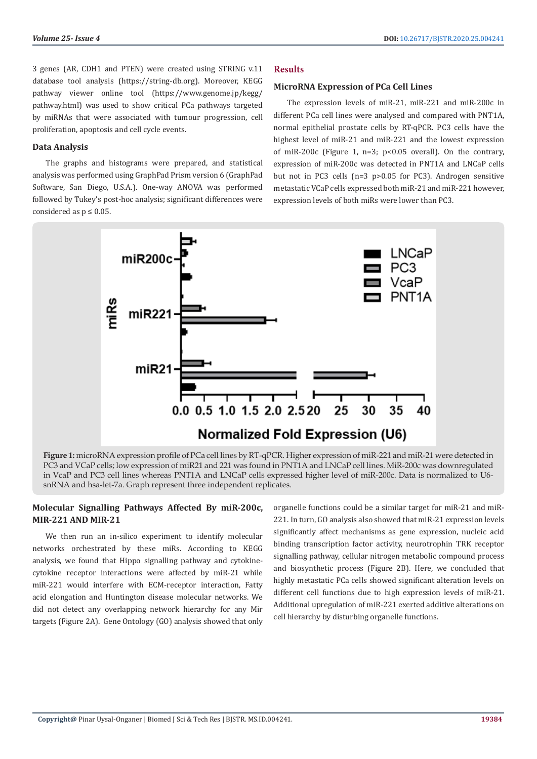3 genes (AR, CDH1 and PTEN) were created using STRING v.11 database tool analysis (https://string-db.org). Moreover, KEGG pathway viewer online tool (https://www.genome.jp/kegg/ pathway.html) was used to show critical PCa pathways targeted by miRNAs that were associated with tumour progression, cell proliferation, apoptosis and cell cycle events.

# **Data Analysis**

The graphs and histograms were prepared, and statistical analysis was performed using GraphPad Prism version 6 (GraphPad Software, San Diego, U.S.A.). One-way ANOVA was performed followed by Tukey's post-hoc analysis; significant differences were considered as  $p \leq 0.05$ .

# **Results**

### **MicroRNA Expression of PCa Cell Lines**

The expression levels of miR-21, miR-221 and miR-200c in different PCa cell lines were analysed and compared with PNT1A, normal epithelial prostate cells by RT-qPCR. PC3 cells have the highest level of miR-21 and miR-221 and the lowest expression of miR-200c (Figure 1,  $n=3$ ;  $p<0.05$  overall). On the contrary, expression of miR-200c was detected in PNT1A and LNCaP cells but not in PC3 cells (n=3 p>0.05 for PC3). Androgen sensitive metastatic VCaP cells expressed both miR-21 and miR-221 however, expression levels of both miRs were lower than PC3.



**Figure 1:** microRNA expression profile of PCa cell lines by RT-qPCR. Higher expression of miR-221 and miR-21 were detected in PC3 and VCaP cells; low expression of miR21 and 221 was found in PNT1A and LNCaP cell lines. MiR-200c was downregulated in VcaP and PC3 cell lines whereas PNT1A and LNCaP cells expressed higher level of miR-200c. Data is normalized to U6 snRNA and hsa-let-7a. Graph represent three independent replicates.

# **Molecular Signalling Pathways Affected By miR-200c, MIR-221 AND MIR-21**

We then run an in-silico experiment to identify molecular networks orchestrated by these miRs. According to KEGG analysis, we found that Hippo signalling pathway and cytokinecytokine receptor interactions were affected by miR-21 while miR-221 would interfere with ECM-receptor interaction, Fatty acid elongation and Huntington disease molecular networks. We did not detect any overlapping network hierarchy for any Mir targets (Figure 2A). Gene Ontology (GO) analysis showed that only

organelle functions could be a similar target for miR-21 and miR-221. In turn, GO analysis also showed that miR-21 expression levels significantly affect mechanisms as gene expression, nucleic acid binding transcription factor activity, neurotrophin TRK receptor signalling pathway, cellular nitrogen metabolic compound process and biosynthetic process (Figure 2B). Here, we concluded that highly metastatic PCa cells showed significant alteration levels on different cell functions due to high expression levels of miR-21. Additional upregulation of miR-221 exerted additive alterations on cell hierarchy by disturbing organelle functions.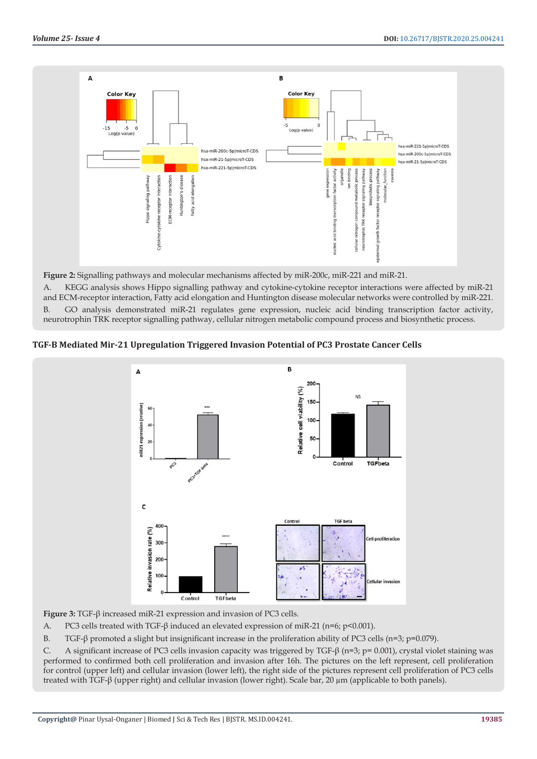

**Figure 2:** Signalling pathways and molecular mechanisms affected by miR-200c, miR-221 and miR-21.

A. KEGG analysis shows Hippo signalling pathway and cytokine-cytokine receptor interactions were affected by miR-21 and ECM-receptor interaction, Fatty acid elongation and Huntington disease molecular networks were controlled by miR-221. B. GO analysis demonstrated miR-21 regulates gene expression, nucleic acid binding transcription factor activity, neurotrophin TRK receptor signalling pathway, cellular nitrogen metabolic compound process and biosynthetic process.

**TGF-Β Mediated Mir-21 Upregulation Triggered Invasion Potential of PC3 Prostate Cancer Cells**



**Figure 3:** TGF-β increased miR-21 expression and invasion of PC3 cells.

A. PC3 cells treated with TGF-β induced an elevated expression of miR-21 (n=6; p<0.001).

B. TGF-β promoted a slight but insignificant increase in the proliferation ability of PC3 cells (n=3; p=0.079).

C. A significant increase of PC3 cells invasion capacity was triggered by TGF-β (n=3; p= 0.001), crystal violet staining was performed to confirmed both cell proliferation and invasion after 16h. The pictures on the left represent, cell proliferation for control (upper left) and cellular invasion (lower left), the right side of the pictures represent cell proliferation of PC3 cells treated with TGF-β (upper right) and cellular invasion (lower right). Scale bar, 20 µm (applicable to both panels).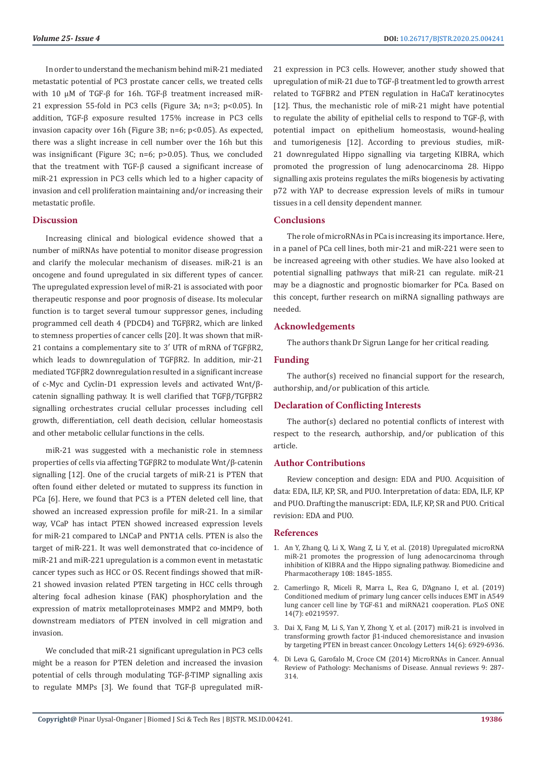In order to understand the mechanism behind miR-21 mediated metastatic potential of PC3 prostate cancer cells, we treated cells with 10 μM of TGF-β for 16h. TGF-β treatment increased miR-21 expression 55-fold in PC3 cells (Figure 3A; n=3; p<0.05). In addition, TGF-β exposure resulted 175% increase in PC3 cells invasion capacity over 16h (Figure 3B; n=6; p<0.05). As expected, there was a slight increase in cell number over the 16h but this was insignificant (Figure 3C; n=6; p>0.05). Thus, we concluded that the treatment with TGF-β caused a significant increase of miR-21 expression in PC3 cells which led to a higher capacity of invasion and cell proliferation maintaining and/or increasing their metastatic profile.

# **Discussion**

Increasing clinical and biological evidence showed that a number of miRNAs have potential to monitor disease progression and clarify the molecular mechanism of diseases. miR-21 is an oncogene and found upregulated in six different types of cancer. The upregulated expression level of miR-21 is associated with poor therapeutic response and poor prognosis of disease. Its molecular function is to target several tumour suppressor genes, including programmed cell death 4 (PDCD4) and TGFβR2, which are linked to stemness properties of cancer cells [20]. It was shown that miR-21 contains a complementary site to 3′ UTR of mRNA of TGFβR2, which leads to downregulation of TGFβR2. In addition, mir-21 mediated TGFβR2 downregulation resulted in a significant increase of c-Myc and Cyclin-D1 expression levels and activated Wnt/βcatenin signalling pathway. It is well clarified that TGFβ/TGFβR2 signalling orchestrates crucial cellular processes including cell growth, differentiation, cell death decision, cellular homeostasis and other metabolic cellular functions in the cells.

miR-21 was suggested with a mechanistic role in stemness properties of cells via affecting TGFβR2 to modulate Wnt/β-catenin signalling [12]. One of the crucial targets of miR-21 is PTEN that often found either deleted or mutated to suppress its function in PCa [6]. Here, we found that PC3 is a PTEN deleted cell line, that showed an increased expression profile for miR-21. In a similar way, VCaP has intact PTEN showed increased expression levels for miR-21 compared to LNCaP and PNT1A cells. PTEN is also the target of miR-221. It was well demonstrated that co-incidence of miR-21 and miR-221 upregulation is a common event in metastatic cancer types such as HCC or OS. Recent findings showed that miR-21 showed invasion related PTEN targeting in HCC cells through altering focal adhesion kinase (FAK) phosphorylation and the expression of matrix metalloproteinases MMP2 and MMP9, both downstream mediators of PTEN involved in cell migration and invasion.

We concluded that miR-21 significant upregulation in PC3 cells might be a reason for PTEN deletion and increased the invasion potential of cells through modulating TGF-β-TIMP signalling axis to regulate MMPs [3]. We found that TGF-β upregulated miR-

21 expression in PC3 cells. However, another study showed that upregulation of miR-21 due to TGF-β treatment led to growth arrest related to TGFBR2 and PTEN regulation in HaCaT keratinocytes [12]. Thus, the mechanistic role of miR-21 might have potential to regulate the ability of epithelial cells to respond to TGF-β, with potential impact on epithelium homeostasis, wound-healing and tumorigenesis [12]. According to previous studies, miR-21 downregulated Hippo signalling via targeting KIBRA, which promoted the progression of lung adenocarcinoma 28. Hippo signalling axis proteins regulates the miRs biogenesis by activating p72 with YAP to decrease expression levels of miRs in tumour tissues in a cell density dependent manner.

# **Conclusions**

The role of microRNAs in PCa is increasing its importance. Here, in a panel of PCa cell lines, both mir-21 and miR-221 were seen to be increased agreeing with other studies. We have also looked at potential signalling pathways that miR-21 can regulate. miR-21 may be a diagnostic and prognostic biomarker for PCa. Based on this concept, further research on miRNA signalling pathways are needed.

# **Acknowledgements**

The authors thank Dr Sigrun Lange for her critical reading.

# **Funding**

The author(s) received no financial support for the research, authorship, and/or publication of this article.

# **Declaration of Conflicting Interests**

The author(s) declared no potential conflicts of interest with respect to the research, authorship, and/or publication of this article.

# **Author Contributions**

Review conception and design: EDA and PUO. Acquisition of data: EDA, ILF, KP, SR, and PUO. Interpretation of data: EDA, ILF, KP and PUO. Drafting the manuscript: EDA, ILF, KP, SR and PUO. Critical revision: EDA and PUO.

#### **References**

- 1. [An Y, Zhang Q, Li X, Wang Z, Li Y, et al. \(2018\) Upregulated microRNA](https://www.ncbi.nlm.nih.gov/pubmed/30372890) [miR-21 promotes the progression of lung adenocarcinoma through](https://www.ncbi.nlm.nih.gov/pubmed/30372890) [inhibition of KIBRA and the Hippo signaling pathway. Biomedicine and](https://www.ncbi.nlm.nih.gov/pubmed/30372890) [Pharmacotherapy 108: 1845-1855.](https://www.ncbi.nlm.nih.gov/pubmed/30372890)
- 2. [Camerlingo R, Miceli R, Marra L, Rea G, D'Agnano I, et al. \(2019\)](https://www.ncbi.nlm.nih.gov/pubmed/31344049) [Conditioned medium of primary lung cancer cells induces EMT in A549](https://www.ncbi.nlm.nih.gov/pubmed/31344049) [lung cancer cell line by TGF-ß1 and miRNA21 cooperation. PLoS ONE](https://www.ncbi.nlm.nih.gov/pubmed/31344049) [14\(7\): e0219597.](https://www.ncbi.nlm.nih.gov/pubmed/31344049)
- 3. [Dai X, Fang M, Li S, Yan Y, Zhong Y, et al. \(2017\) miR-21 is involved in](https://www.ncbi.nlm.nih.gov/pubmed/29151919) [transforming growth factor β1-induced chemoresistance and invasion](https://www.ncbi.nlm.nih.gov/pubmed/29151919) [by targeting PTEN in breast cancer. Oncology Letters 14\(6\): 6929-6936.](https://www.ncbi.nlm.nih.gov/pubmed/29151919)
- 4. [Di Leva G, Garofalo M, Croce CM \(2014\) MicroRNAs in Cancer. Annual](https://www.annualreviews.org/doi/abs/10.1146/annurev-pathol-012513-104715) [Review of Pathology: Mechanisms of Disease. Annual reviews 9: 287-](https://www.annualreviews.org/doi/abs/10.1146/annurev-pathol-012513-104715) [314.](https://www.annualreviews.org/doi/abs/10.1146/annurev-pathol-012513-104715)